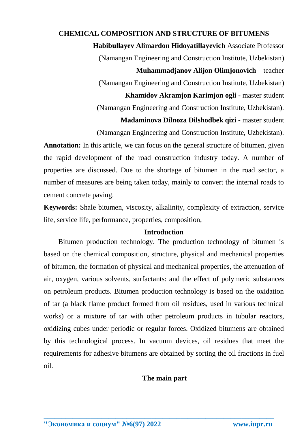# **CHEMICAL COMPOSITION AND STRUCTURE OF BITUMENS Habibullayev Alimardon Hidoyatillayevich** Associate Professor (Namangan Engineering and Construction Institute, Uzbekistan) **Muhammadjanov Alijon Olimjonovich –** teacher (Namangan Engineering and Construction Institute, Uzbekistan) **Khamidov Akramjon Karimjon ogli -** master student (Namangan Engineering and Construction Institute, Uzbekistan). **Madaminova Dilnoza Dilshodbek qizi -** master student

(Namangan Engineering and Construction Institute, Uzbekistan).

Annotation: In this article, we can focus on the general structure of bitumen, given the rapid development of the road construction industry today. A number of properties are discussed. Due to the shortage of bitumen in the road sector, a number of measures are being taken today, mainly to convert the internal roads to cement concrete paving.

**Keywords:** Shale bitumen, viscosity, alkalinity, complexity of extraction, service life, service life, performance, properties, composition,

#### **Introduction**

Bitumen production technology. The production technology of bitumen is based on the chemical composition, structure, physical and mechanical properties of bitumen, the formation of physical and mechanical properties, the attenuation of air, oxygen, various solvents, surfactants: and the effect of polymeric substances on petroleum products. Bitumen production technology is based on the oxidation of tar (a black flame product formed from oil residues, used in various technical works) or a mixture of tar with other petroleum products in tubular reactors, oxidizing cubes under periodic or regular forces. Oxidized bitumens are obtained by this technological process. In vacuum devices, oil residues that meet the requirements for adhesive bitumens are obtained by sorting the oil fractions in fuel oil.

### **The main part**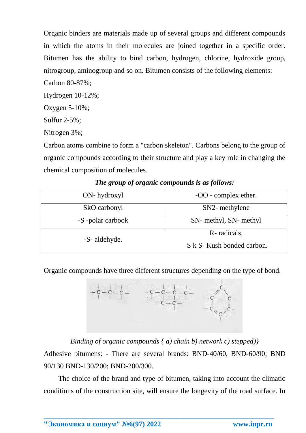Organic binders are materials made up of several groups and different compounds in which the atoms in their molecules are joined together in a specific order. Bitumen has the ability to bind carbon, hydrogen, chlorine, hydroxide group, nitrogroup, aminogroup and so on. Bitumen consists of the following elements:

Carbon 80-87%;

Hydrogen 10-12%;

Oxygen 5-10%;

Sulfur 2-5%;

Nitrogen 3%;

Carbon atoms combine to form a "carbon skeleton". Carbons belong to the group of organic compounds according to their structure and play a key role in changing the chemical composition of molecules.

| ON-hydroxyl      | -OO - complex ether.        |
|------------------|-----------------------------|
| SkO carbonyl     | SN2- methylene              |
| -S-polar carbook | SN- methyl, SN- methyl      |
| -S- aldehyde.    | R-radicals,                 |
|                  | -S k S- Kush bonded carbon. |

## *The group of organic compounds is as follows:*

Organic compounds have three different structures depending on the type of bond.



*Binding of organic compounds { a) chain b) network c) stepped)}*

Adhesive bitumens: - There are several brands: BND-40/60, BND-60/90; BND 90/130 BND-130/200; BND-200/300.

The choice of the brand and type of bitumen, taking into account the climatic conditions of the construction site, will ensure the longevity of the road surface. In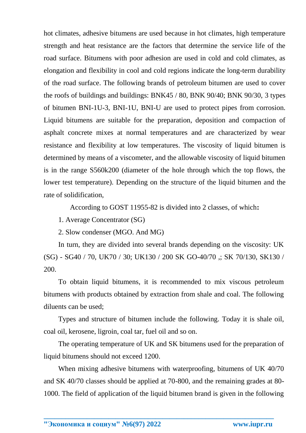hot climates, adhesive bitumens are used because in hot climates, high temperature strength and heat resistance are the factors that determine the service life of the road surface. Bitumens with poor adhesion are used in cold and cold climates, as elongation and flexibility in cool and cold regions indicate the long-term durability of the road surface. The following brands of petroleum bitumen are used to cover the roofs of buildings and buildings: BNK45 / 80, BNK 90/40; BNK 90/30, 3 types of bitumen BNI-1U-3, BNI-1U, BNI-U are used to protect pipes from corrosion. Liquid bitumens are suitable for the preparation, deposition and compaction of asphalt concrete mixes at normal temperatures and are characterized by wear resistance and flexibility at low temperatures. The viscosity of liquid bitumen is determined by means of a viscometer, and the allowable viscosity of liquid bitumen is in the range S560k200 (diameter of the hole through which the top flows, the lower test temperature). Depending on the structure of the liquid bitumen and the rate of solidification,

According to GOST 11955-82 is divided into 2 classes, of which**:**

1. Average Concentrator (SG)

2. Slow condenser (MGO. And MG)

In turn, they are divided into several brands depending on the viscosity: UK (SG) - SG40 / 70, UK70 / 30; UK130 / 200 SK GO-40/70 ,; SK 70/130, SK130 / 200.

To obtain liquid bitumens, it is recommended to mix viscous petroleum bitumens with products obtained by extraction from shale and coal. The following diluents can be used;

Types and structure of bitumen include the following. Today it is shale oil, coal oil, kerosene, ligroin, coal tar, fuel oil and so on.

The operating temperature of UK and SK bitumens used for the preparation of liquid bitumens should not exceed 1200.

When mixing adhesive bitumens with waterproofing, bitumens of UK 40/70 and SK 40/70 classes should be applied at 70-800, and the remaining grades at 80- 1000. The field of application of the liquid bitumen brand is given in the following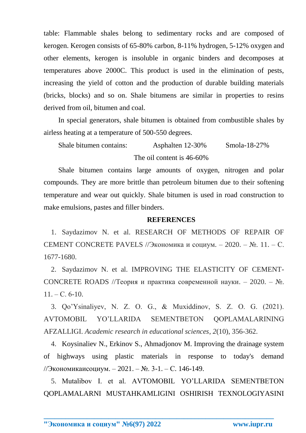table: Flammable shales belong to sedimentary rocks and are composed of kerogen. Kerogen consists of 65-80% carbon, 8-11% hydrogen, 5-12% oxygen and other elements, kerogen is insoluble in organic binders and decomposes at temperatures above 2000C. This product is used in the elimination of pests, increasing the yield of cotton and the production of durable building materials (bricks, blocks) and so on. Shale bitumens are similar in properties to resins derived from oil, bitumen and coal.

In special generators, shale bitumen is obtained from combustible shales by airless heating at a temperature of 500-550 degrees.

Shale bitumen contains: Asphalten 12-30% Smola-18-27% The oil content is 46-60%

Shale bitumen contains large amounts of oxygen, nitrogen and polar compounds. They are more brittle than petroleum bitumen due to their softening temperature and wear out quickly. Shale bitumen is used in road construction to make emulsions, pastes and filler binders.

#### **REFERENCES**

1. Saydazimov N. et al. RESEARCH OF METHODS OF REPAIR OF CEMENT CONCRETE PAVELS //Экономика и социум. – 2020. – №. 11. – С. 1677-1680.

2. Saydazimov N. et al. IMPROVING THE ELASTICITY OF CEMENT-CONCRETE ROADS //Теория и практика современной науки. – 2020. – №.  $11. - C. 6-10.$ 

3. Qo'Ysinaliyev, N. Z. O. G., & Muxiddinov, S. Z. O. G. (2021). AVTOMOBIL YO'LLARIDA SEMENTBETON QOPLAMALARINING AFZALLIGI. *Academic research in educational sciences*, *2*(10), 356-362.

4. Koysinaliev N., Erkinov S., Ahmadjonov M. Improving the drainage system of highways using plastic materials in response to today's demand //Экономикаисоциум. – 2021. – №. 3-1. – С. 146-149.

5. Mutalibov I. et al. AVTOMOBIL YO'LLARIDA SEMENTBETON QOPLAMALARNI MUSTAHKAMLIGINI OSHIRISH TEXNOLOGIYASINI